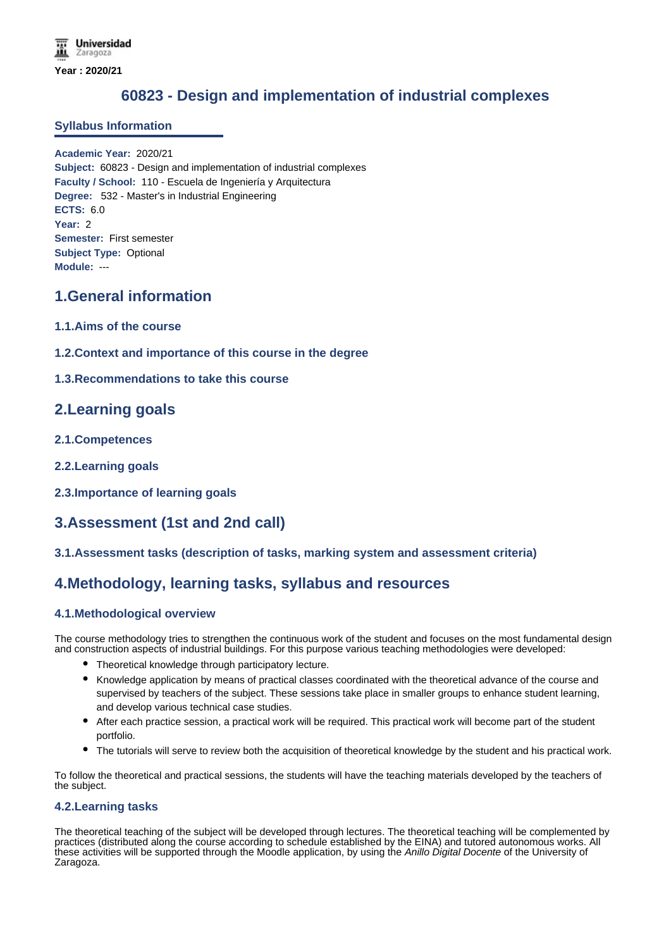# **60823 - Design and implementation of industrial complexes**

### **Syllabus Information**

**Academic Year:** 2020/21 **Subject:** 60823 - Design and implementation of industrial complexes **Faculty / School:** 110 - Escuela de Ingeniería y Arquitectura **Degree:** 532 - Master's in Industrial Engineering **ECTS:** 6.0 **Year:** 2 **Semester:** First semester **Subject Type:** Optional **Module:** ---

### **1.General information**

- **1.1.Aims of the course**
- **1.2.Context and importance of this course in the degree**
- **1.3.Recommendations to take this course**

### **2.Learning goals**

- **2.1.Competences**
- **2.2.Learning goals**
- **2.3.Importance of learning goals**

## **3.Assessment (1st and 2nd call)**

### **3.1.Assessment tasks (description of tasks, marking system and assessment criteria)**

### **4.Methodology, learning tasks, syllabus and resources**

### **4.1.Methodological overview**

The course methodology tries to strengthen the continuous work of the student and focuses on the most fundamental design and construction aspects of industrial buildings. For this purpose various teaching methodologies were developed:

- Theoretical knowledge through participatory lecture.
- Knowledge application by means of practical classes coordinated with the theoretical advance of the course and supervised by teachers of the subject. These sessions take place in smaller groups to enhance student learning, and develop various technical case studies.
- After each practice session, a practical work will be required. This practical work will become part of the student portfolio.
- The tutorials will serve to review both the acquisition of theoretical knowledge by the student and his practical work.

To follow the theoretical and practical sessions, the students will have the teaching materials developed by the teachers of the subject.

### **4.2.Learning tasks**

The theoretical teaching of the subject will be developed through lectures. The theoretical teaching will be complemented by practices (distributed along the course according to schedule established by the EINA) and tutored autonomous works. All these activities will be supported through the Moodle application, by using the *Anillo Digital Docente* of the University of Zaragoza.